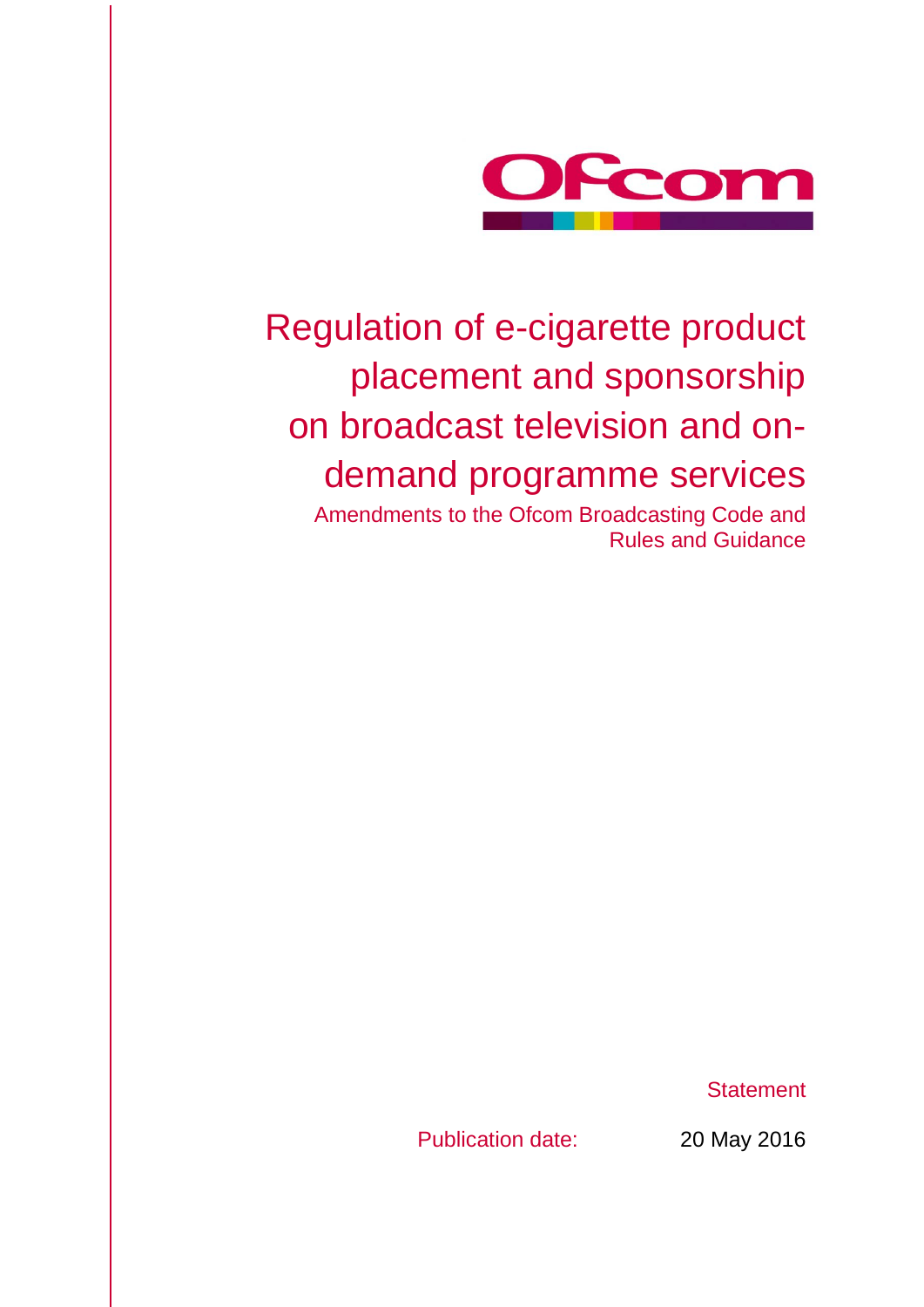

# Regulation of e-cigarette product placement and sponsorship on broadcast television and ondemand programme services

Amendments to the Ofcom Broadcasting Code and Rules and Guidance

**Statement** 

Publication date: 20 May 2016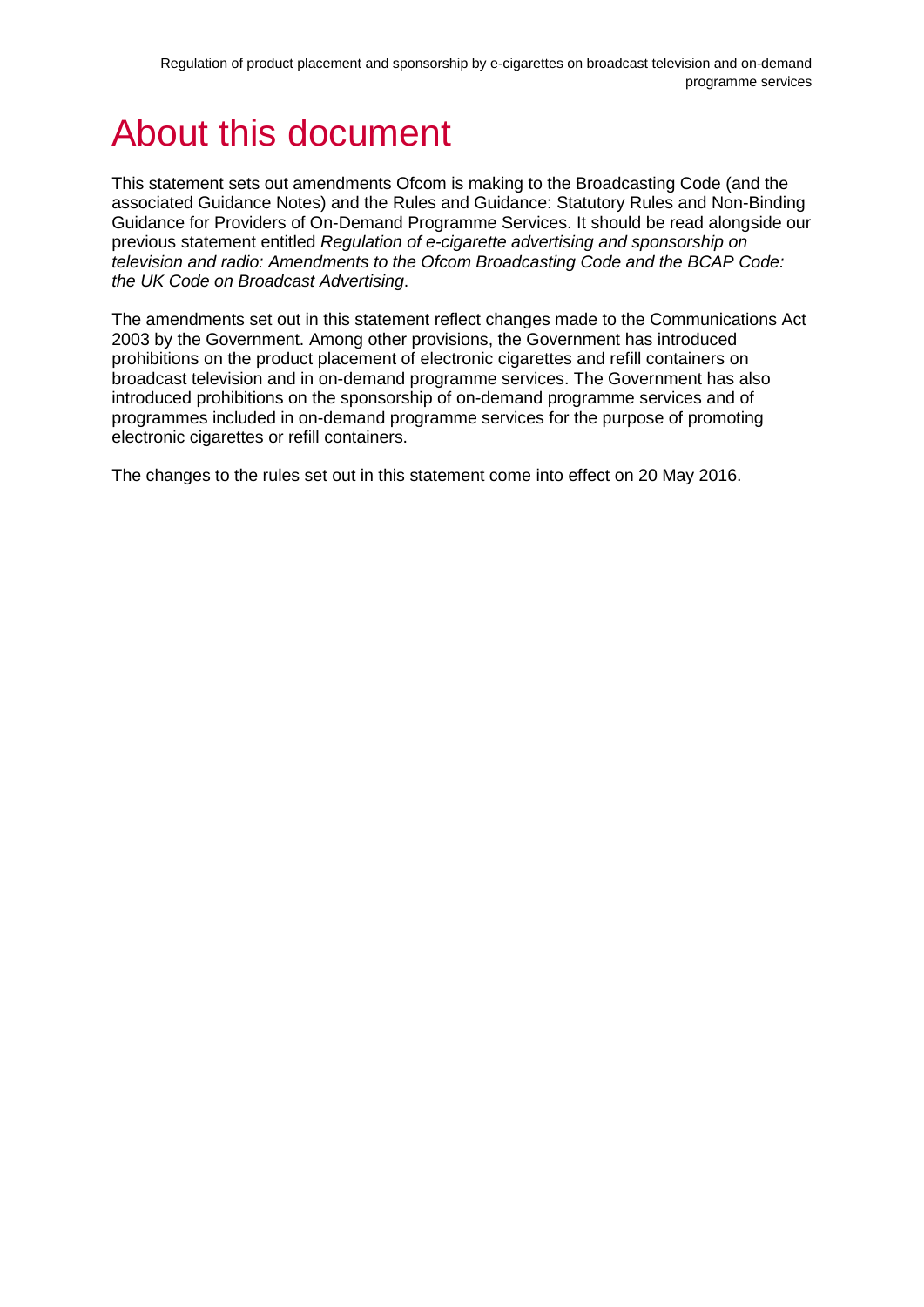## About this document

This statement sets out amendments Ofcom is making to the Broadcasting Code (and the associated Guidance Notes) and the Rules and Guidance: Statutory Rules and Non-Binding Guidance for Providers of On-Demand Programme Services. It should be read alongside our previous statement entitled *Regulation of e-cigarette advertising and sponsorship on television and radio: Amendments to the Ofcom Broadcasting Code and the BCAP Code: the UK Code on Broadcast Advertising*.

The amendments set out in this statement reflect changes made to the Communications Act 2003 by the Government. Among other provisions, the Government has introduced prohibitions on the product placement of electronic cigarettes and refill containers on broadcast television and in on-demand programme services. The Government has also introduced prohibitions on the sponsorship of on-demand programme services and of programmes included in on-demand programme services for the purpose of promoting electronic cigarettes or refill containers.

The changes to the rules set out in this statement come into effect on 20 May 2016.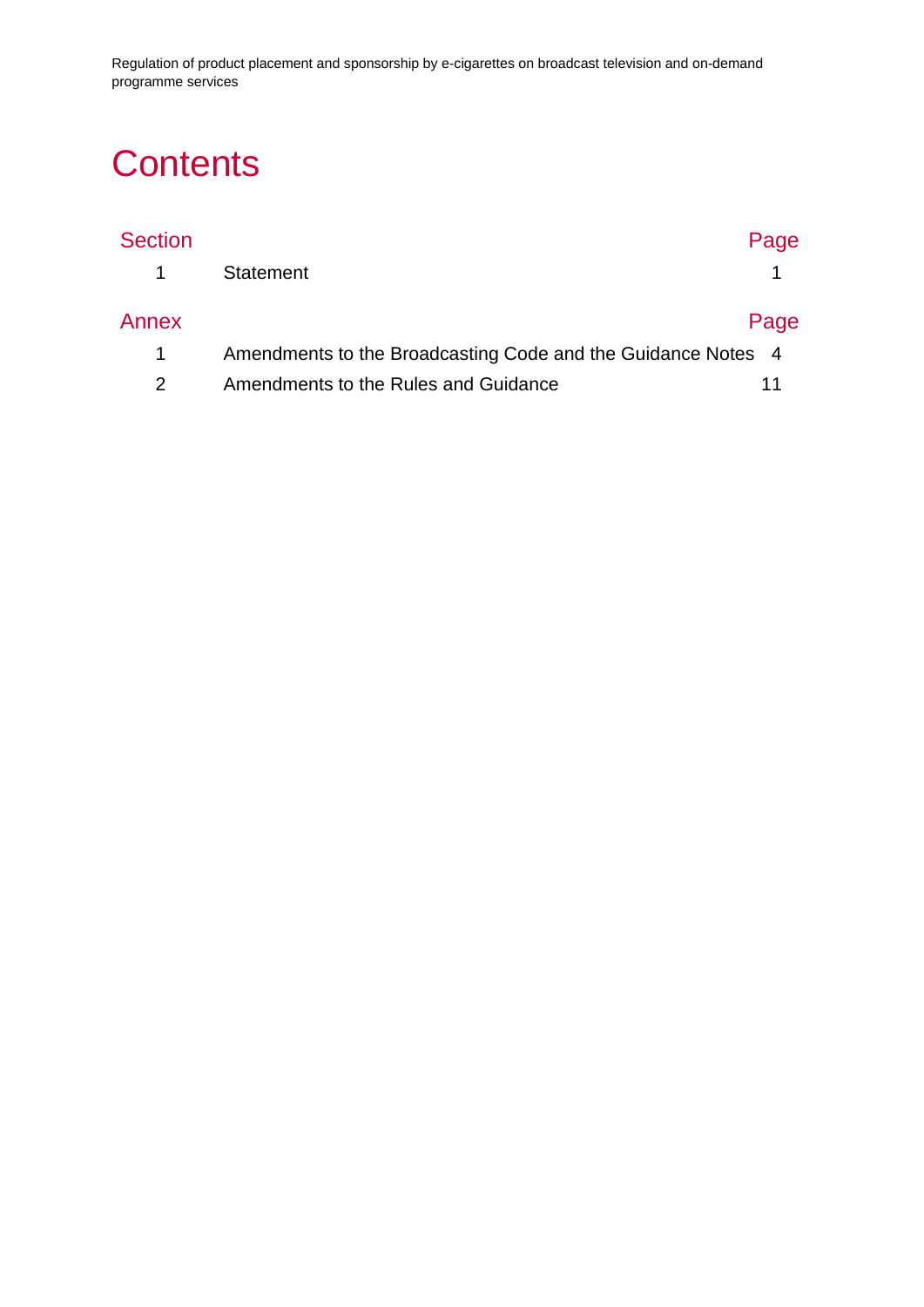Regulation of product placement and sponsorship by e-cigarettes on broadcast television and on-demand programme services

## **Contents**

| <b>Section</b> |                                                              | Page |
|----------------|--------------------------------------------------------------|------|
|                | <b>Statement</b>                                             |      |
| Annex          |                                                              | Page |
|                | Amendments to the Broadcasting Code and the Guidance Notes 4 |      |
|                | Amendments to the Rules and Guidance                         |      |
|                |                                                              |      |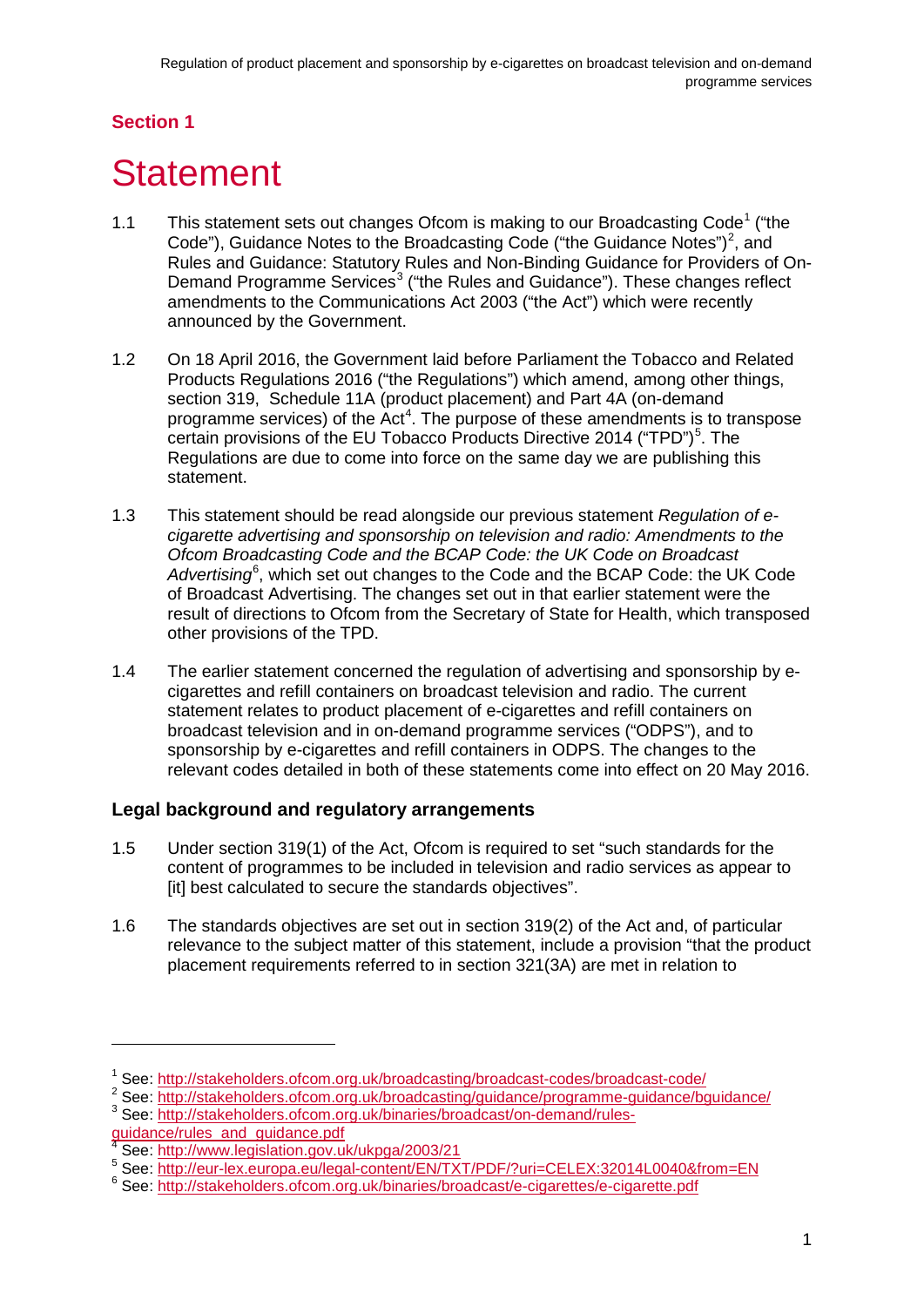## **Section 1**

## <span id="page-3-0"></span>**Statement**

- [1](#page-3-1).1 This statement sets out changes Ofcom is making to our Broadcasting Code<sup>1</sup> ("the Code"), Guidance Notes to the Broadcasting Code ("the Guidance Notes")<sup>[2](#page-3-2)</sup>, and Rules and Guidance: Statutory Rules and Non-Binding Guidance for Providers of On-Demand Programme Services<sup>[3](#page-3-3)</sup> ("the Rules and Guidance"). These changes reflect amendments to the Communications Act 2003 ("the Act") which were recently announced by the Government.
- 1.2 On 18 April 2016, the Government laid before Parliament the Tobacco and Related Products Regulations 2016 ("the Regulations") which amend, among other things, section 319, Schedule 11A (product placement) and Part 4A (on-demand programme services) of the Act<sup>[4](#page-3-4)</sup>. The purpose of these amendments is to transpose certain provisions of the EU Tobacco Products Directive 2014 ("TPD")<sup>[5](#page-3-5)</sup>. The Regulations are due to come into force on the same day we are publishing this statement.
- 1.3 This statement should be read alongside our previous statement *Regulation of ecigarette advertising and sponsorship on television and radio: Amendments to the Ofcom Broadcasting Code and the BCAP Code: the UK Code on Broadcast*  Advertising<sup>[6](#page-3-6)</sup>, which set out changes to the Code and the BCAP Code: the UK Code of Broadcast Advertising. The changes set out in that earlier statement were the result of directions to Ofcom from the Secretary of State for Health, which transposed other provisions of the TPD.
- 1.4 The earlier statement concerned the regulation of advertising and sponsorship by ecigarettes and refill containers on broadcast television and radio. The current statement relates to product placement of e-cigarettes and refill containers on broadcast television and in on-demand programme services ("ODPS"), and to sponsorship by e-cigarettes and refill containers in ODPS. The changes to the relevant codes detailed in both of these statements come into effect on 20 May 2016.

### **Legal background and regulatory arrangements**

- 1.5 Under section 319(1) of the Act, Ofcom is required to set "such standards for the content of programmes to be included in television and radio services as appear to [it] best calculated to secure the standards objectives".
- 1.6 The standards objectives are set out in section 319(2) of the Act and, of particular relevance to the subject matter of this statement, include a provision "that the product placement requirements referred to in section 321(3A) are met in relation to

<sup>1</sup> See:<http://stakeholders.ofcom.org.uk/broadcasting/broadcast-codes/broadcast-code/>

<span id="page-3-2"></span><span id="page-3-1"></span><sup>2</sup> See:<http://stakeholders.ofcom.org.uk/broadcasting/guidance/programme-guidance/bguidance/><br>3 See: [http://stakeholders.ofcom.org.uk/binaries/broadcast/on-demand/rules-](http://stakeholders.ofcom.org.uk/binaries/broadcast/on-demand/rules-guidance/rules_and_guidance.pdf)

<span id="page-3-3"></span>[guidance/rules\\_and\\_guidance.pdf](http://stakeholders.ofcom.org.uk/binaries/broadcast/on-demand/rules-guidance/rules_and_guidance.pdf)<br>
<sup>4</sup> See: http://www.legislation.gov.uk/ukpga/2003/21

<span id="page-3-5"></span><span id="page-3-4"></span><sup>4</sup> See: <http://www.legislation.gov.uk/ukpga/2003/21> <sup>5</sup> See:<http://eur-lex.europa.eu/legal-content/EN/TXT/PDF/?uri=CELEX:32014L0040&from=EN>

<span id="page-3-6"></span><sup>6</sup> See: http://<u>stakeholders.ofcom.org.uk/binaries/broadcast/e-cigarettes/e-cigarette.pdf</u>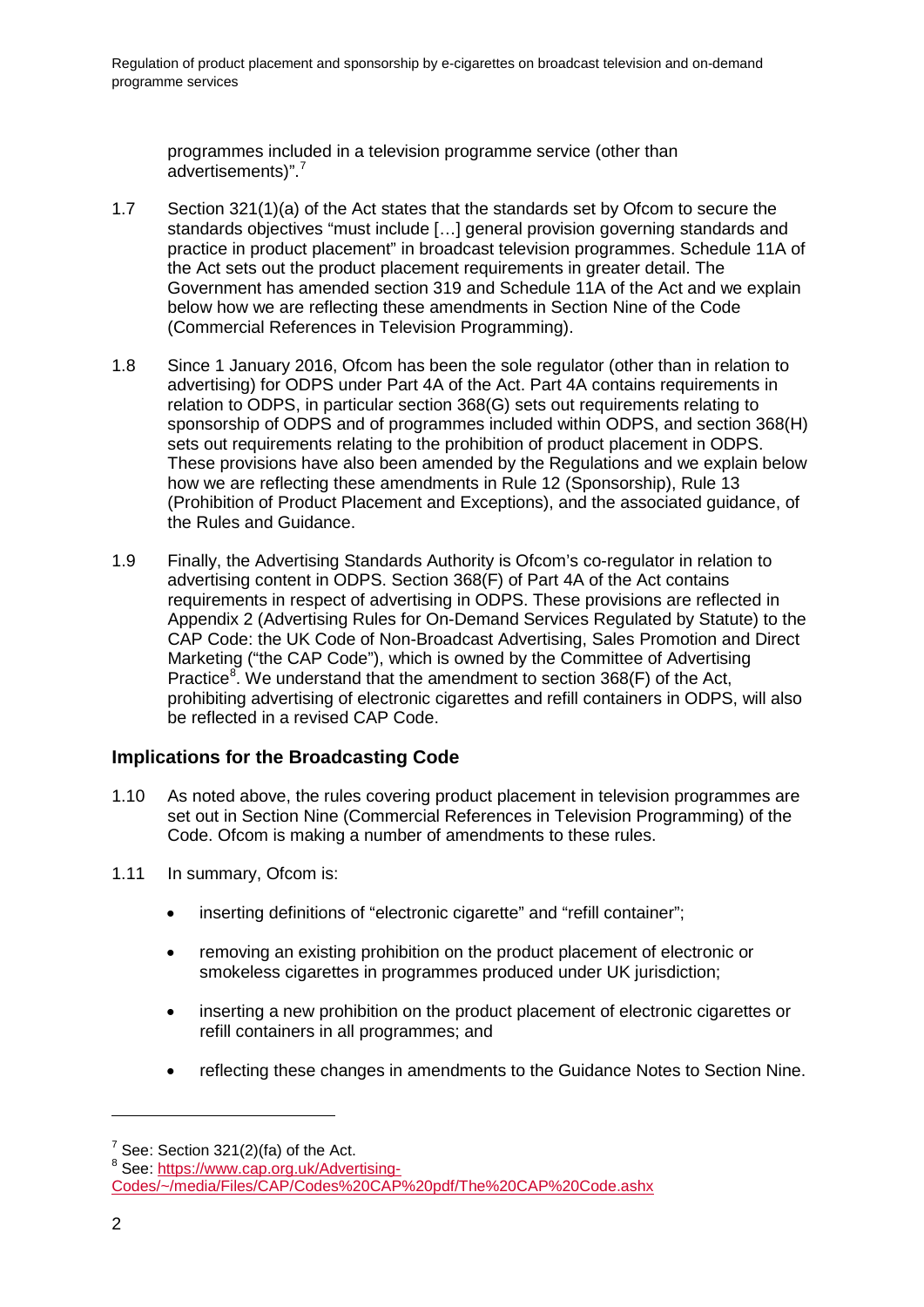programmes included in a television programme service (other than advertisements)".[7](#page-4-0)

- 1.7 Section 321(1)(a) of the Act states that the standards set by Ofcom to secure the standards objectives "must include […] general provision governing standards and practice in product placement" in broadcast television programmes. Schedule 11A of the Act sets out the product placement requirements in greater detail. The Government has amended section 319 and Schedule 11A of the Act and we explain below how we are reflecting these amendments in Section Nine of the Code (Commercial References in Television Programming).
- 1.8 Since 1 January 2016, Ofcom has been the sole regulator (other than in relation to advertising) for ODPS under Part 4A of the Act. Part 4A contains requirements in relation to ODPS, in particular section 368(G) sets out requirements relating to sponsorship of ODPS and of programmes included within ODPS, and section 368(H) sets out requirements relating to the prohibition of product placement in ODPS. These provisions have also been amended by the Regulations and we explain below how we are reflecting these amendments in Rule 12 (Sponsorship), Rule 13 (Prohibition of Product Placement and Exceptions), and the associated guidance, of the Rules and Guidance.
- 1.9 Finally, the Advertising Standards Authority is Ofcom's co-regulator in relation to advertising content in ODPS. Section 368(F) of Part 4A of the Act contains requirements in respect of advertising in ODPS. These provisions are reflected in Appendix 2 (Advertising Rules for On-Demand Services Regulated by Statute) to the CAP Code: the UK Code of Non-Broadcast Advertising, Sales Promotion and Direct Marketing ("the CAP Code"), which is owned by the Committee of Advertising Practice<sup>[8](#page-4-1)</sup>. We understand that the amendment to section  $368(F)$  of the Act, prohibiting advertising of electronic cigarettes and refill containers in ODPS, will also be reflected in a revised CAP Code.

#### **Implications for the Broadcasting Code**

- 1.10 As noted above, the rules covering product placement in television programmes are set out in Section Nine (Commercial References in Television Programming) of the Code. Ofcom is making a number of amendments to these rules.
- 1.11 In summary, Ofcom is:
	- inserting definitions of "electronic cigarette" and "refill container";
	- removing an existing prohibition on the product placement of electronic or smokeless cigarettes in programmes produced under UK jurisdiction;
	- inserting a new prohibition on the product placement of electronic cigarettes or refill containers in all programmes; and
	- reflecting these changes in amendments to the Guidance Notes to Section Nine.

<span id="page-4-1"></span><span id="page-4-0"></span>

 $7$  See: Section 321(2)(fa) of the Act.<br><sup>8</sup> See: [https://www.cap.org.uk/Advertising-](https://www.cap.org.uk/Advertising-Codes/%7E/media/Files/CAP/Codes%20CAP%20pdf/The%20CAP%20Code.ashx)[Codes/~/media/Files/CAP/Codes%20CAP%20pdf/The%20CAP%20Code.ashx](https://www.cap.org.uk/Advertising-Codes/%7E/media/Files/CAP/Codes%20CAP%20pdf/The%20CAP%20Code.ashx)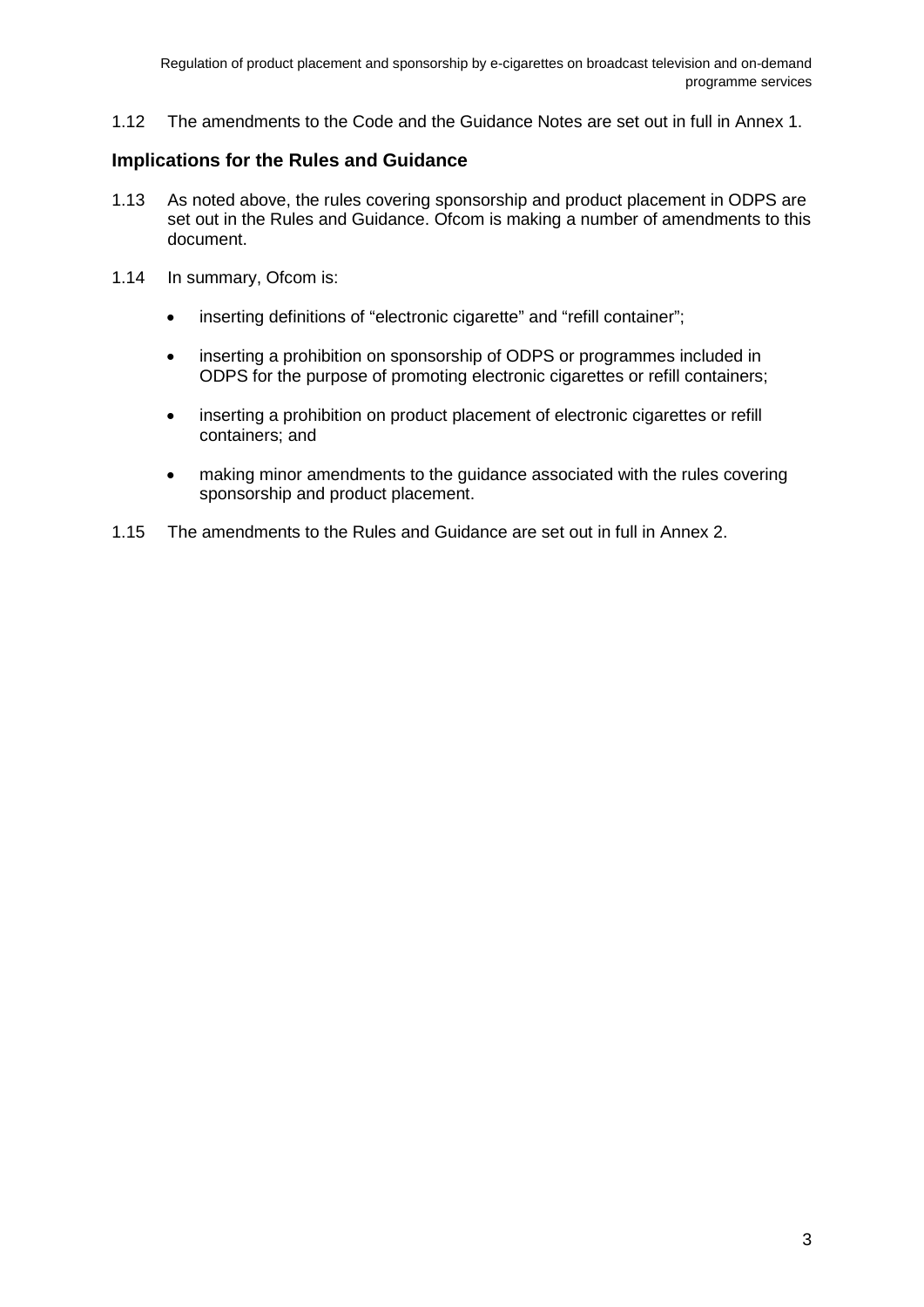1.12 The amendments to the Code and the Guidance Notes are set out in full in Annex 1.

#### **Implications for the Rules and Guidance**

- 1.13 As noted above, the rules covering sponsorship and product placement in ODPS are set out in the Rules and Guidance. Ofcom is making a number of amendments to this document.
- 1.14 In summary, Ofcom is:
	- inserting definitions of "electronic cigarette" and "refill container":
	- inserting a prohibition on sponsorship of ODPS or programmes included in ODPS for the purpose of promoting electronic cigarettes or refill containers;
	- inserting a prohibition on product placement of electronic cigarettes or refill containers; and
	- making minor amendments to the guidance associated with the rules covering sponsorship and product placement.
- 1.15 The amendments to the Rules and Guidance are set out in full in Annex 2.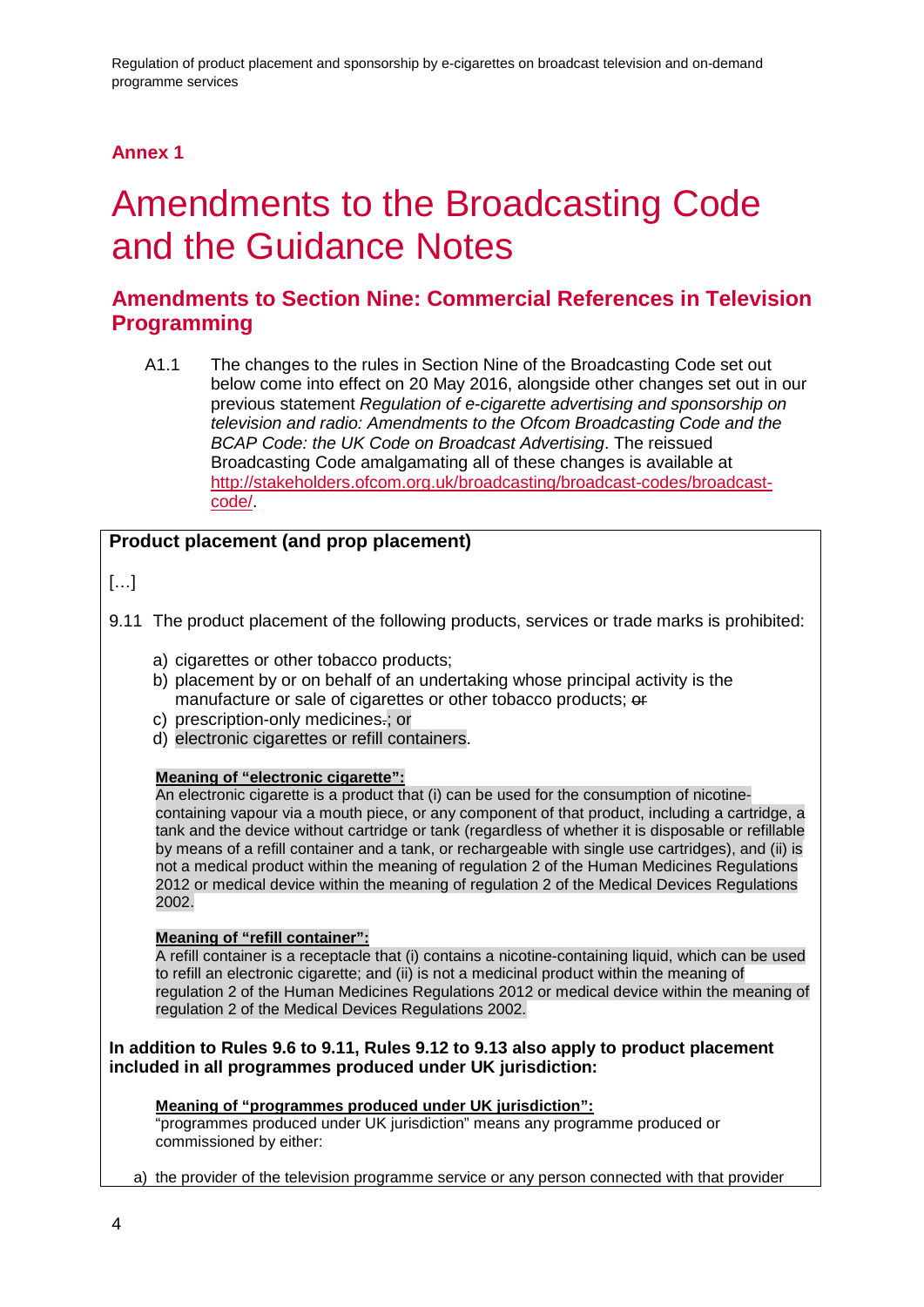## **Annex 1**

## <span id="page-6-0"></span>1 Amendments to the Broadcasting Code and the Guidance Notes

## **Amendments to Section Nine: Commercial References in Television Programming**

A1.1 The changes to the rules in Section Nine of the Broadcasting Code set out below come into effect on 20 May 2016, alongside other changes set out in our previous statement *Regulation of e-cigarette advertising and sponsorship on television and radio: Amendments to the Ofcom Broadcasting Code and the BCAP Code: the UK Code on Broadcast Advertising*. The reissued Broadcasting Code amalgamating all of these changes is available at [http://stakeholders.ofcom.org.uk/broadcasting/broadcast-codes/broadcast](http://stakeholders.ofcom.org.uk/broadcasting/broadcast-codes/broadcast-code/)[code/.](http://stakeholders.ofcom.org.uk/broadcasting/broadcast-codes/broadcast-code/)

#### **Product placement (and prop placement)**

[…]

- 9.11 The product placement of the following products, services or trade marks is prohibited:
	- a) cigarettes or other tobacco products;
	- b) placement by or on behalf of an undertaking whose principal activity is the manufacture or sale of cigarettes or other tobacco products; or
	- c) prescription-only medicines-; or
	- d) electronic cigarettes or refill containers.

#### **Meaning of "electronic cigarette":**

An electronic cigarette is a product that (i) can be used for the consumption of nicotinecontaining vapour via a mouth piece, or any component of that product, including a cartridge, a tank and the device without cartridge or tank (regardless of whether it is disposable or refillable by means of a refill container and a tank, or rechargeable with single use cartridges), and (ii) is not a medical product within the meaning of regulation 2 of the Human Medicines Regulations 2012 or medical device within the meaning of regulation 2 of the Medical Devices Regulations 2002.

#### **Meaning of "refill container":**

A refill container is a receptacle that (i) contains a nicotine-containing liquid, which can be used to refill an electronic cigarette; and (ii) is not a medicinal product within the meaning of regulation 2 of the Human Medicines Regulations 2012 or medical device within the meaning of regulation 2 of the Medical Devices Regulations 2002.

#### **In addition to Rules 9.6 to 9.11, Rules 9.12 to 9.13 also apply to product placement included in all programmes produced under UK jurisdiction:**

#### **Meaning of "programmes produced under UK jurisdiction":**

"programmes produced under UK jurisdiction" means any programme produced or commissioned by either:

a) the provider of the television programme service or any person connected with that provider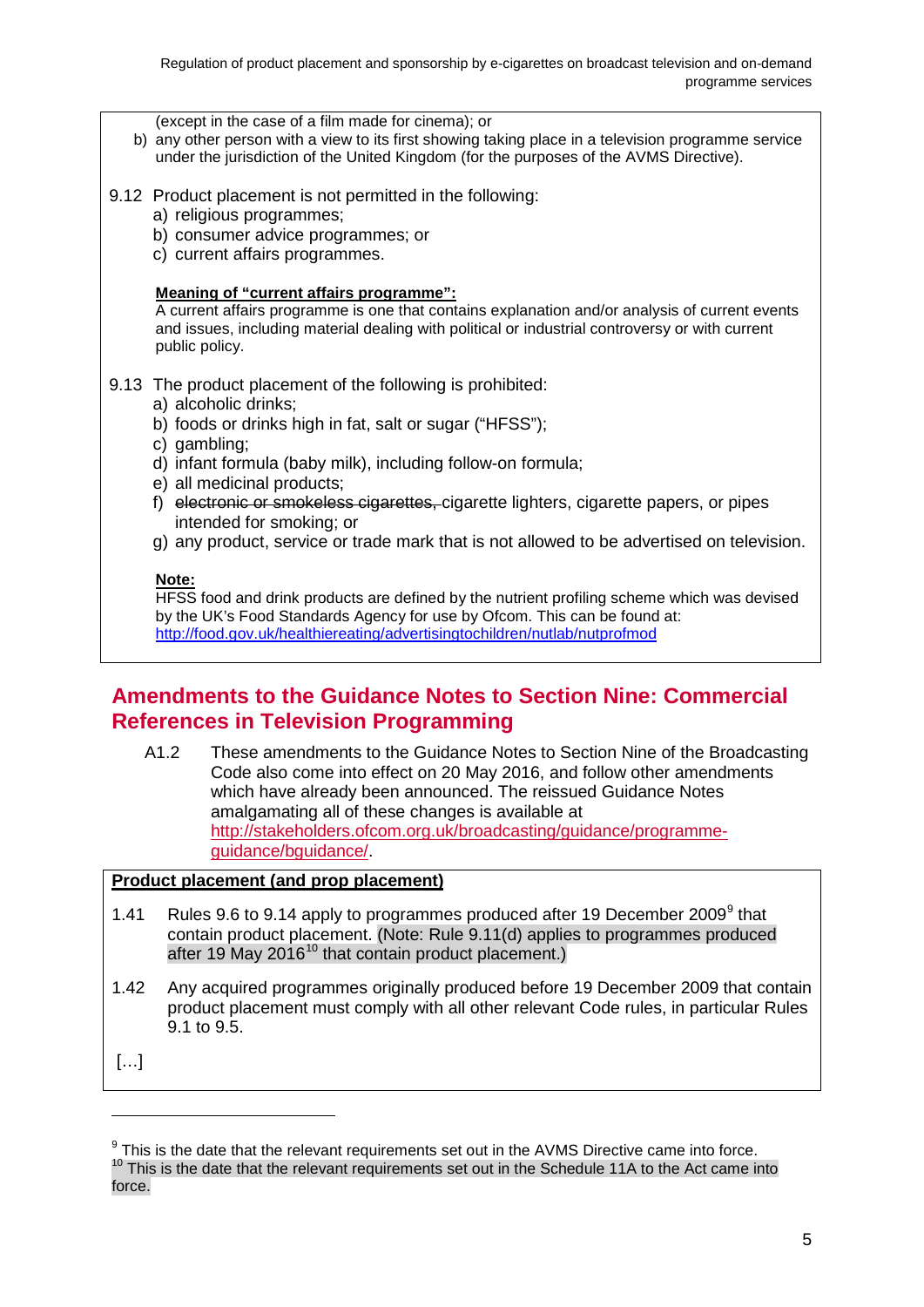(except in the case of a film made for cinema); or

- b) any other person with a view to its first showing taking place in a television programme service under the jurisdiction of the United Kingdom (for the purposes of the AVMS Directive).
- 9.12 Product placement is not permitted in the following:
	- a) religious programmes;
	- b) consumer advice programmes; or
	- c) current affairs programmes.

#### **Meaning of "current affairs programme":**

A current affairs programme is one that contains explanation and/or analysis of current events and issues, including material dealing with political or industrial controversy or with current public policy.

#### 9.13 The product placement of the following is prohibited:

- a) alcoholic drinks;
- b) foods or drinks high in fat, salt or sugar ("HFSS");
- c) gambling;
- d) infant formula (baby milk), including follow-on formula;
- e) all medicinal products;
- f) electronic or smokeless cigarettes, cigarette lighters, cigarette papers, or pipes intended for smoking; or
- g) any product, service or trade mark that is not allowed to be advertised on television.

#### **Note:**

HFSS food and drink products are defined by the nutrient profiling scheme which was devised by the UK's Food Standards Agency for use by Ofcom. This can be found at: <http://food.gov.uk/healthiereating/advertisingtochildren/nutlab/nutprofmod>

### **Amendments to the Guidance Notes to Section Nine: Commercial References in Television Programming**

A1.2 These amendments to the Guidance Notes to Section Nine of the Broadcasting Code also come into effect on 20 May 2016, and follow other amendments which have already been announced. The reissued Guidance Notes amalgamating all of these changes is available at [http://stakeholders.ofcom.org.uk/broadcasting/guidance/programme](http://stakeholders.ofcom.org.uk/broadcasting/guidance/programme-guidance/bguidance/)[guidance/bguidance/.](http://stakeholders.ofcom.org.uk/broadcasting/guidance/programme-guidance/bguidance/)

#### **Product placement (and prop placement)**

- 1.41 Rules [9](#page-7-0).6 to 9.14 apply to programmes produced after 19 December 2009<sup>9</sup> that contain product placement. (Note: Rule 9.11(d) applies to programmes produced after 19 May 2016<sup>[10](#page-7-1)</sup> that contain product placement.)
- 1.42 Any acquired programmes originally produced before 19 December 2009 that contain product placement must comply with all other relevant Code rules, in particular Rules 9.1 to 9.5.

[…]

<span id="page-7-1"></span><span id="page-7-0"></span> $9$  This is the date that the relevant requirements set out in the AVMS Directive came into force.  $10$  This is the date that the relevant requirements set out in the Schedule 11A to the Act came into force.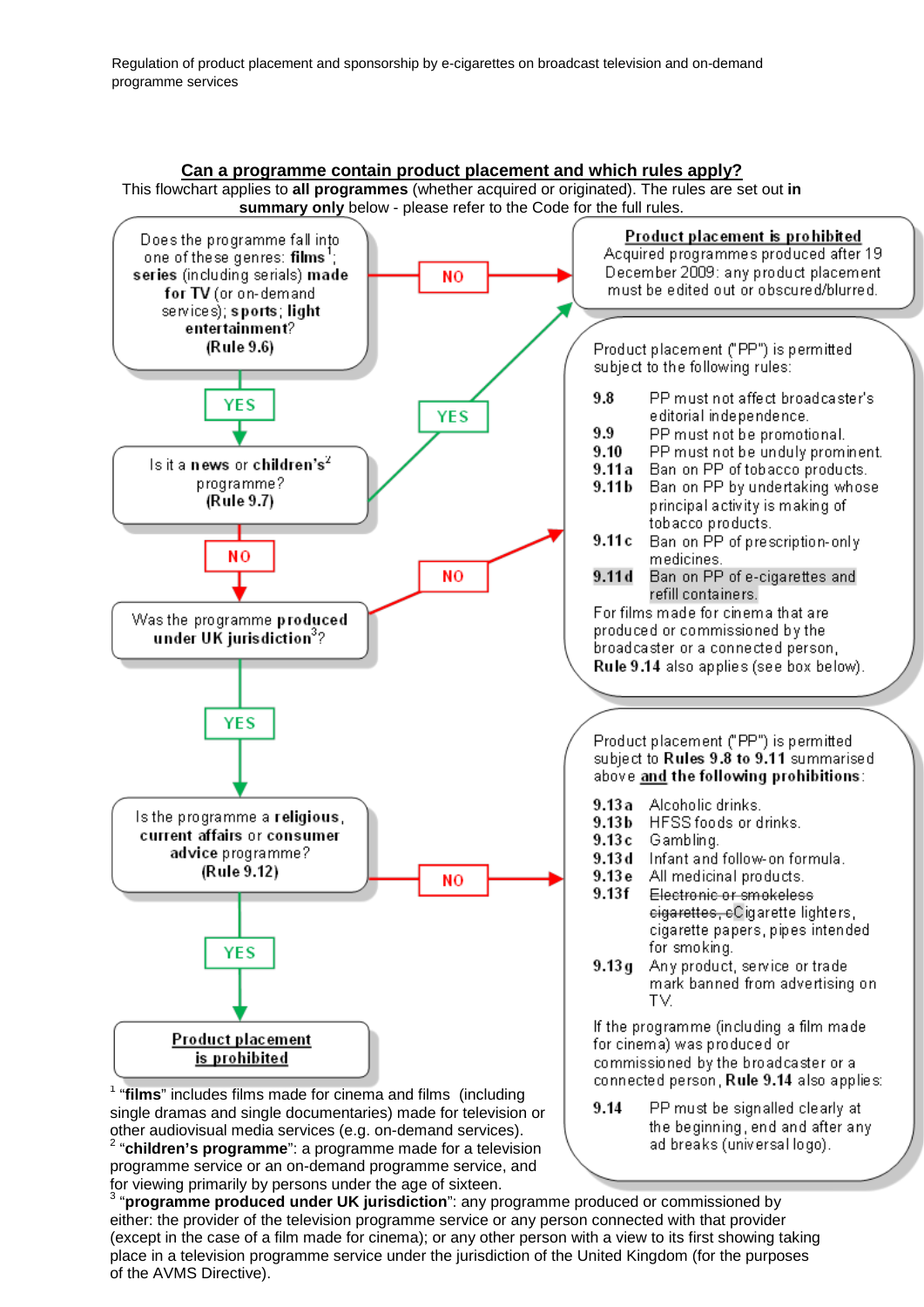

for viewing primarily by persons under the age of sixteen.

either: the provider of the television programme service or any person connected with that provider <sup>3</sup> "**programme produced under UK jurisdiction**": any programme produced or commissioned by (except in the case of a film made for cinema); or any other person with a view to its first showing taking place in a television programme service under the jurisdiction of the United Kingdom (for the purposes of the AVMS Directive).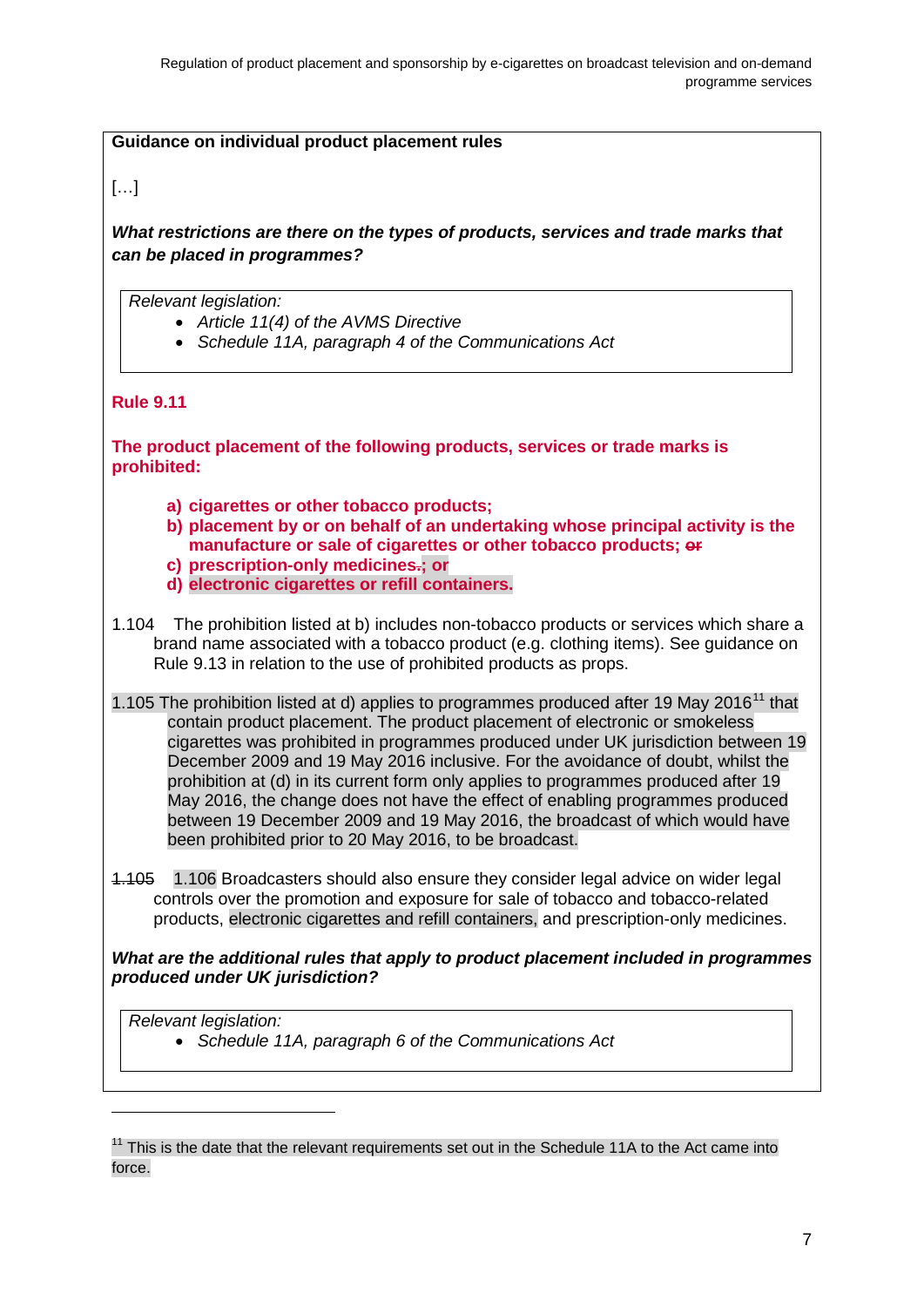#### **Guidance on individual product placement rules**

#### […]

*What restrictions are there on the types of products, services and trade marks that can be placed in programmes?*

*Relevant legislation:*

- *Article 11(4) of the AVMS Directive*
- *Schedule 11A, paragraph 4 of the Communications Act*

#### **Rule 9.11**

**The product placement of the following products, services or trade marks is prohibited:**

- **a) cigarettes or other tobacco products;**
- **b) placement by or on behalf of an undertaking whose principal activity is the manufacture or sale of cigarettes or other tobacco products; or**
- **c) prescription-only medicines.; or**
- **d) electronic cigarettes or refill containers.**
- 1.104 The prohibition listed at b) includes non-tobacco products or services which share a brand name associated with a tobacco product (e.g. clothing items). See guidance on Rule 9.13 in relation to the use of prohibited products as props.
- 1.105 The prohibition listed at d) applies to programmes produced after 19 May 2016<sup>[11](#page-9-0)</sup> that contain product placement. The product placement of electronic or smokeless cigarettes was prohibited in programmes produced under UK jurisdiction between 19 December 2009 and 19 May 2016 inclusive. For the avoidance of doubt, whilst the prohibition at (d) in its current form only applies to programmes produced after 19 May 2016, the change does not have the effect of enabling programmes produced between 19 December 2009 and 19 May 2016, the broadcast of which would have been prohibited prior to 20 May 2016, to be broadcast.
- 1.105 1.106 Broadcasters should also ensure they consider legal advice on wider legal controls over the promotion and exposure for sale of tobacco and tobacco-related products, electronic cigarettes and refill containers, and prescription-only medicines.

*What are the additional rules that apply to product placement included in programmes produced under UK jurisdiction?*

*Relevant legislation:*

-

• *Schedule 11A, paragraph 6 of the Communications Act*

<span id="page-9-0"></span> $11$  This is the date that the relevant requirements set out in the Schedule 11A to the Act came into force.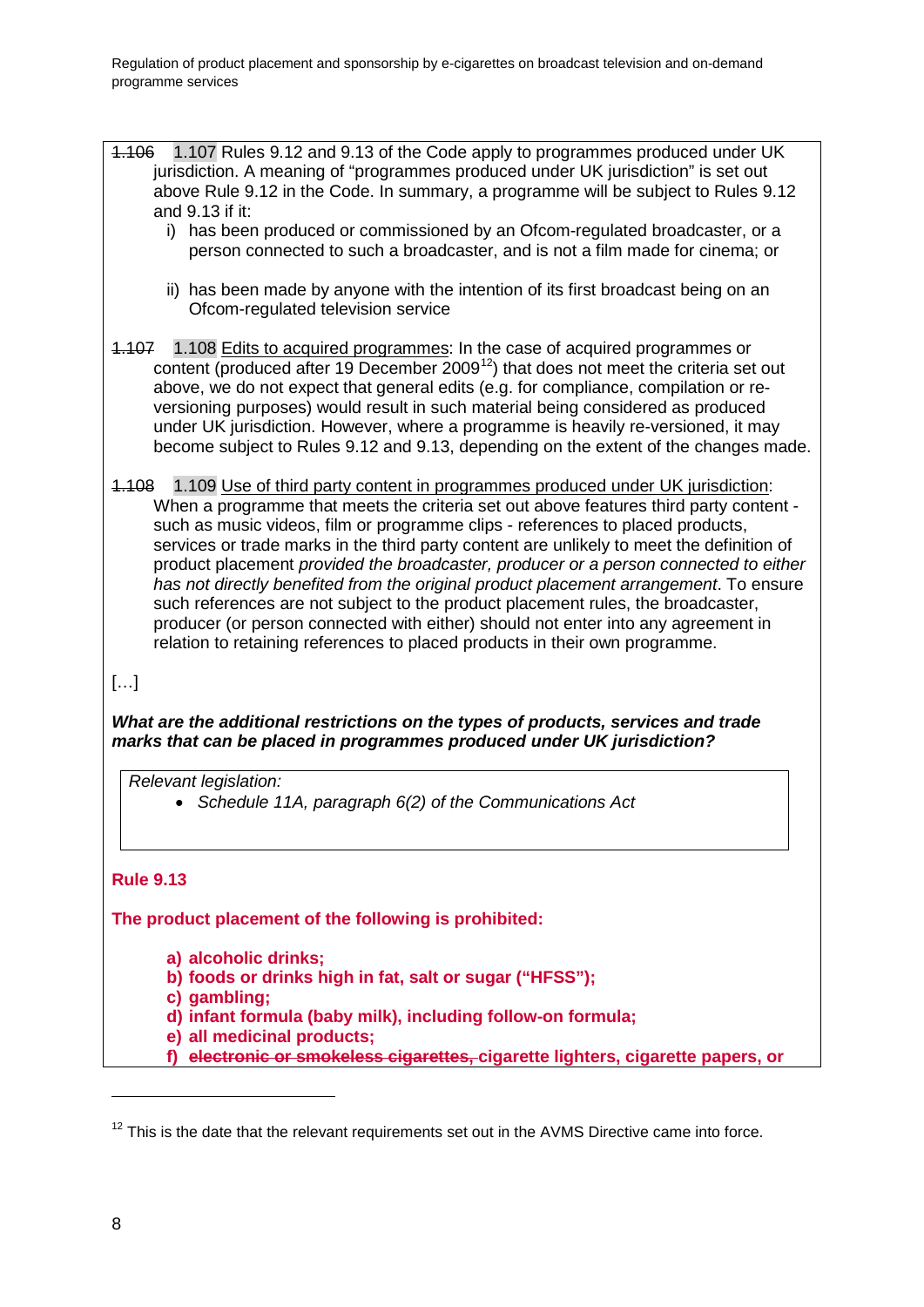- 1.106 1.107 Rules 9.12 and 9.13 of the Code apply to programmes produced under UK jurisdiction. A meaning of "programmes produced under UK jurisdiction" is set out above Rule 9.12 in the Code. In summary, a programme will be subject to Rules 9.12 and 9.13 if it:
	- i) has been produced or commissioned by an Ofcom-regulated broadcaster, or a person connected to such a broadcaster, and is not a film made for cinema; or
	- ii) has been made by anyone with the intention of its first broadcast being on an Ofcom-regulated television service
- 1.107 1.108 Edits to acquired programmes: In the case of acquired programmes or  $\frac{1}{2}$  content (produced after 19 December 2009<sup>12</sup>) that does not meet the criteria set out above, we do not expect that general edits (e.g. for compliance, compilation or reversioning purposes) would result in such material being considered as produced under UK jurisdiction. However, where a programme is heavily re-versioned, it may become subject to Rules 9.12 and 9.13, depending on the extent of the changes made.
- 1.108 1.109 Use of third party content in programmes produced under UK jurisdiction: When a programme that meets the criteria set out above features third party content such as music videos, film or programme clips - references to placed products, services or trade marks in the third party content are unlikely to meet the definition of product placement *provided the broadcaster, producer or a person connected to either has not directly benefited from the original product placement arrangement*. To ensure such references are not subject to the product placement rules, the broadcaster, producer (or person connected with either) should not enter into any agreement in relation to retaining references to placed products in their own programme.

### […]

*What are the additional restrictions on the types of products, services and trade marks that can be placed in programmes produced under UK jurisdiction?*

*Relevant legislation:*

• *Schedule 11A, paragraph 6(2) of the Communications Act*

#### **Rule 9.13**

**The product placement of the following is prohibited:**

**a) alcoholic drinks;**

**b) foods or drinks high in fat, salt or sugar ("HFSS");**

**c) gambling;**

**d) infant formula (baby milk), including follow-on formula;**

**e) all medicinal products;** 

**f) electronic or smokeless cigarettes, cigarette lighters, cigarette papers, or** 

<span id="page-10-0"></span> $12$  This is the date that the relevant requirements set out in the AVMS Directive came into force.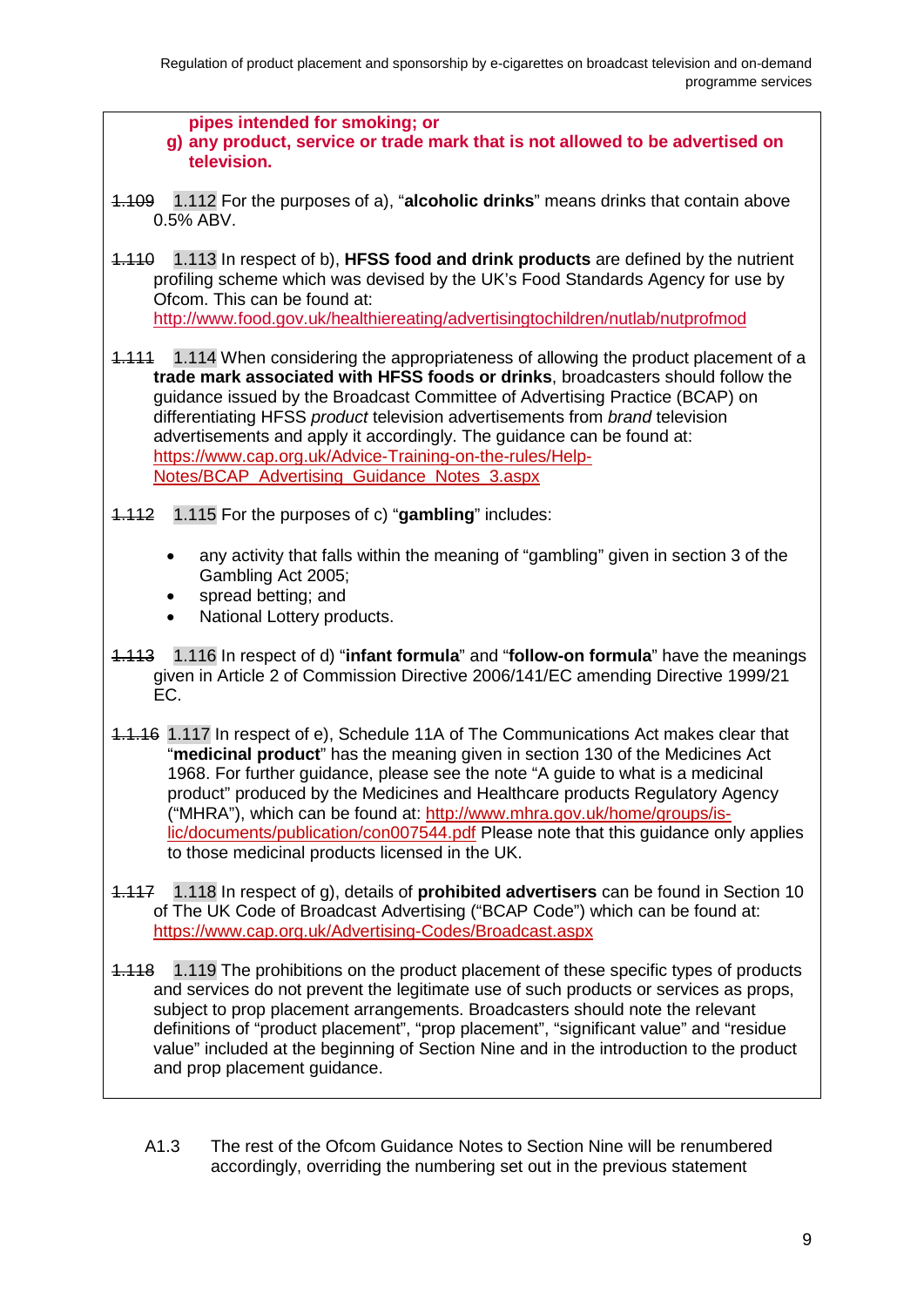

A1.3 The rest of the Ofcom Guidance Notes to Section Nine will be renumbered accordingly, overriding the numbering set out in the previous statement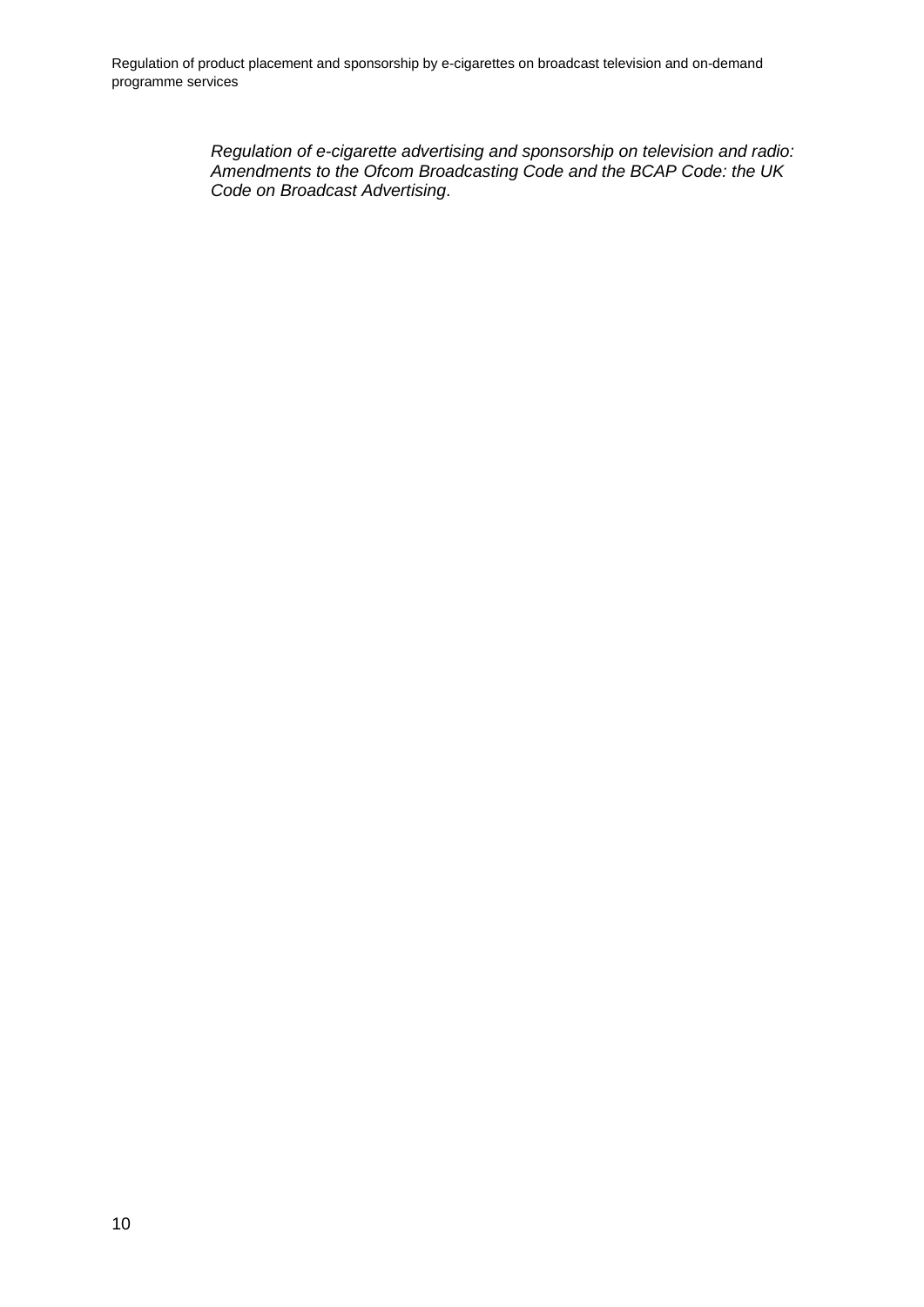Regulation of product placement and sponsorship by e-cigarettes on broadcast television and on-demand programme services

> *Regulation of e-cigarette advertising and sponsorship on television and radio: Amendments to the Ofcom Broadcasting Code and the BCAP Code: the UK Code on Broadcast Advertising*.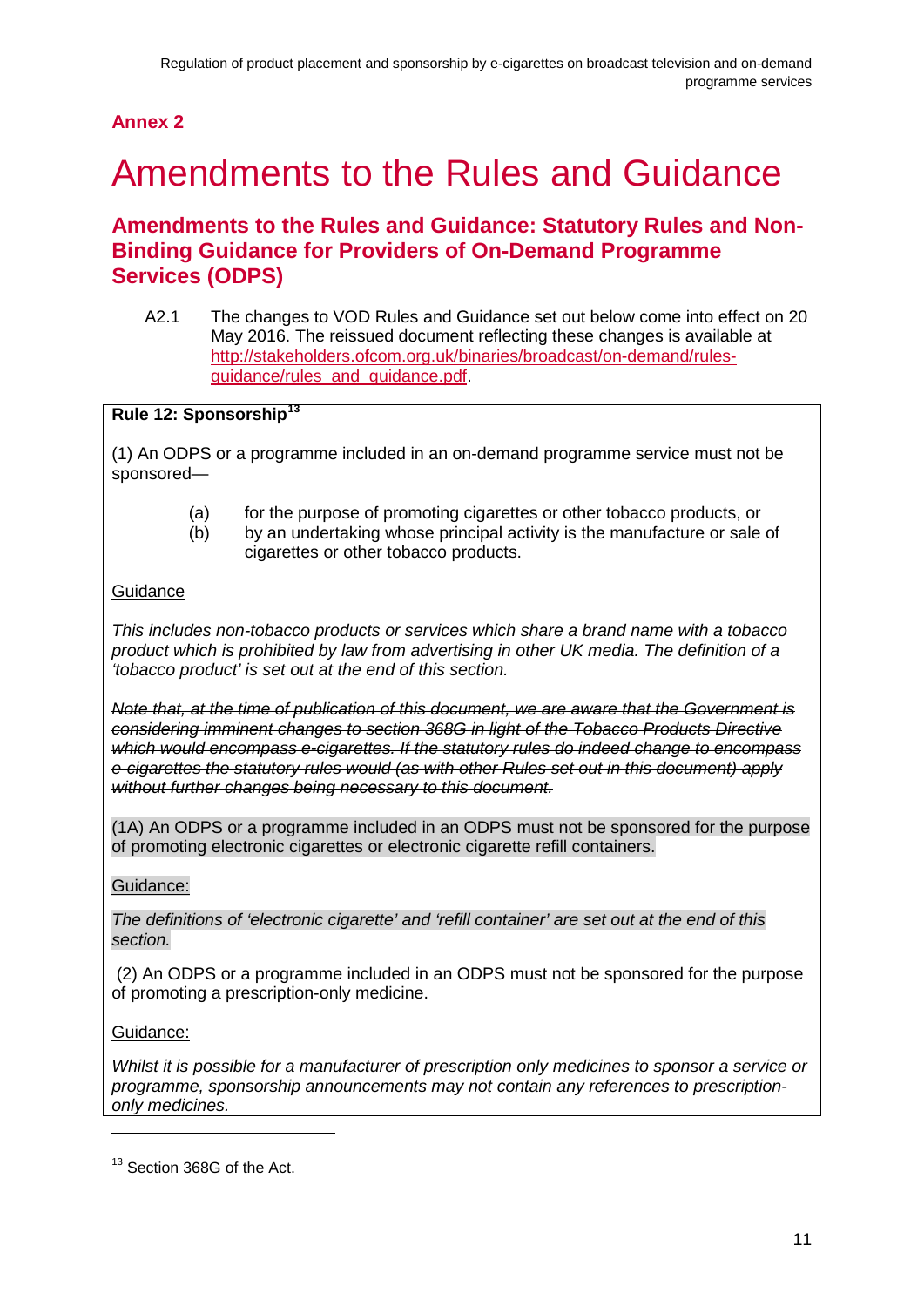## **Annex 2**

## <span id="page-13-0"></span>2 Amendments to the Rules and Guidance

## **Amendments to the Rules and Guidance: Statutory Rules and Non-Binding Guidance for Providers of On-Demand Programme Services (ODPS)**

A2.1 The changes to VOD Rules and Guidance set out below come into effect on 20 May 2016. The reissued document reflecting these changes is available at [http://stakeholders.ofcom.org.uk/binaries/broadcast/on-demand/rules](http://stakeholders.ofcom.org.uk/binaries/broadcast/on-demand/rules-guidance/rules_and_guidance.pdf)[guidance/rules\\_and\\_guidance.pdf.](http://stakeholders.ofcom.org.uk/binaries/broadcast/on-demand/rules-guidance/rules_and_guidance.pdf)

### **Rule 12: Sponsorship[13](#page-13-1)**

(1) An ODPS or a programme included in an on-demand programme service must not be sponsored—

- (a) for the purpose of promoting cigarettes or other tobacco products, or
- (b) by an undertaking whose principal activity is the manufacture or sale of cigarettes or other tobacco products.

#### **Guidance**

*This includes non-tobacco products or services which share a brand name with a tobacco product which is prohibited by law from advertising in other UK media. The definition of a 'tobacco product' is set out at the end of this section.*

*Note that, at the time of publication of this document, we are aware that the Government is considering imminent changes to section 368G in light of the Tobacco Products Directive which would encompass e-cigarettes. If the statutory rules do indeed change to encompass e-cigarettes the statutory rules would (as with other Rules set out in this document) apply without further changes being necessary to this document.*

(1A) An ODPS or a programme included in an ODPS must not be sponsored for the purpose of promoting electronic cigarettes or electronic cigarette refill containers.

#### Guidance:

*The definitions of 'electronic cigarette' and 'refill container' are set out at the end of this section.*

(2) An ODPS or a programme included in an ODPS must not be sponsored for the purpose of promoting a prescription-only medicine.

#### Guidance:

-

*Whilst it is possible for a manufacturer of prescription only medicines to sponsor a service or programme, sponsorship announcements may not contain any references to prescriptiononly medicines.*

<span id="page-13-1"></span><sup>&</sup>lt;sup>13</sup> Section 368G of the Act.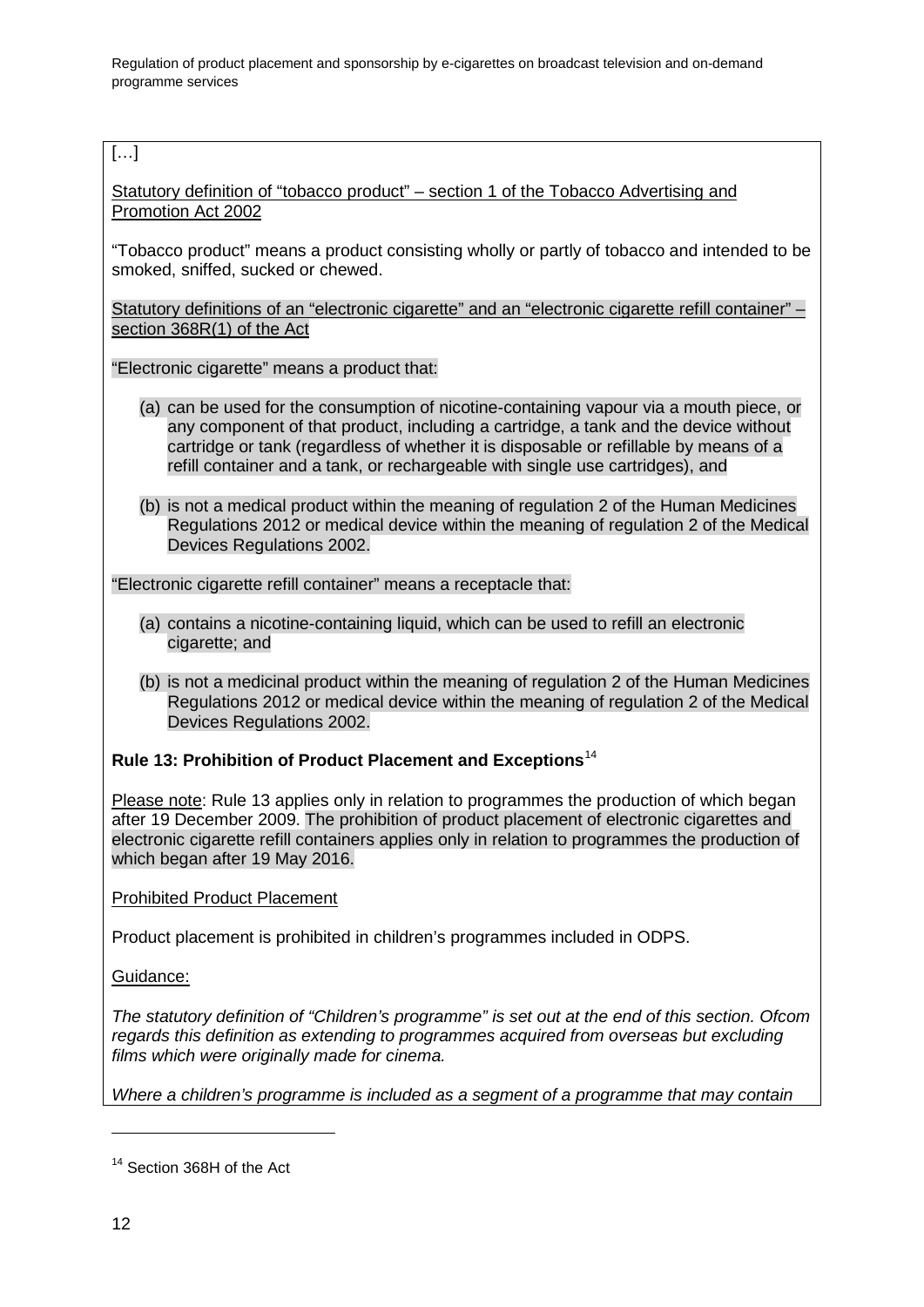Regulation of product placement and sponsorship by e-cigarettes on broadcast television and on-demand programme services

#### […]

Statutory definition of "tobacco product" – section 1 of the Tobacco Advertising and Promotion Act 2002

"Tobacco product" means a product consisting wholly or partly of tobacco and intended to be smoked, sniffed, sucked or chewed.

Statutory definitions of an "electronic cigarette" and an "electronic cigarette refill container" – section 368R(1) of the Act

"Electronic cigarette" means a product that:

- (a) can be used for the consumption of nicotine-containing vapour via a mouth piece, or any component of that product, including a cartridge, a tank and the device without cartridge or tank (regardless of whether it is disposable or refillable by means of a refill container and a tank, or rechargeable with single use cartridges), and
- (b) is not a medical product within the meaning of regulation 2 of the Human Medicines Regulations 2012 or medical device within the meaning of regulation 2 of the Medical Devices Regulations 2002.

"Electronic cigarette refill container" means a receptacle that:

- (a) contains a nicotine-containing liquid, which can be used to refill an electronic cigarette; and
- (b) is not a medicinal product within the meaning of regulation 2 of the Human Medicines Regulations 2012 or medical device within the meaning of regulation 2 of the Medical Devices Regulations 2002.

#### **Rule 13: Prohibition of Product Placement and Exceptions**[14](#page-14-0)

Please note: Rule 13 applies only in relation to programmes the production of which began after 19 December 2009. The prohibition of product placement of electronic cigarettes and electronic cigarette refill containers applies only in relation to programmes the production of which began after 19 May 2016.

Prohibited Product Placement

Product placement is prohibited in children's programmes included in ODPS.

Guidance:

*The statutory definition of "Children's programme" is set out at the end of this section. Ofcom regards this definition as extending to programmes acquired from overseas but excluding films which were originally made for cinema.*

*Where a children's programme is included as a segment of a programme that may contain* 

<span id="page-14-0"></span><sup>&</sup>lt;sup>14</sup> Section 368H of the Act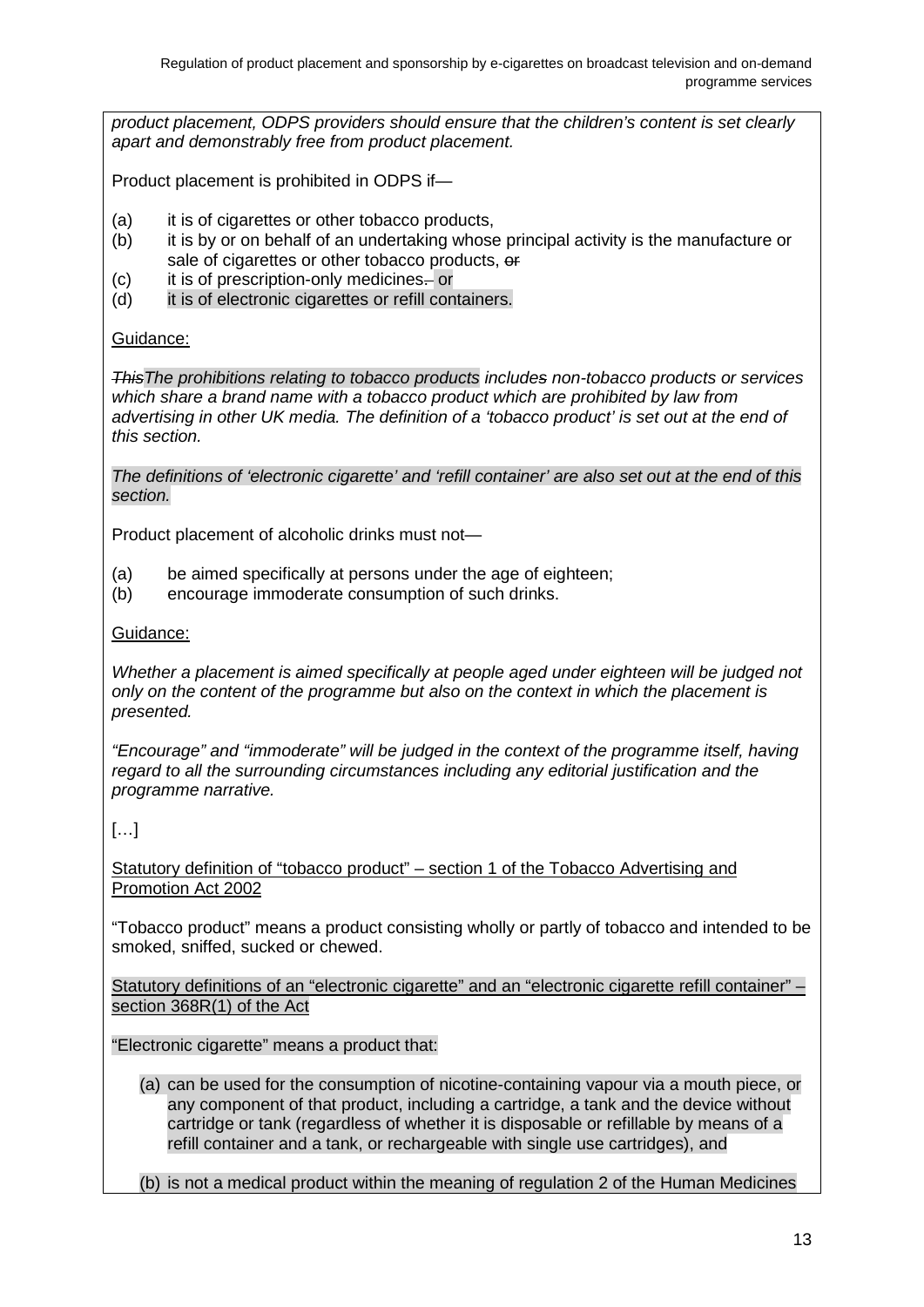*product placement, ODPS providers should ensure that the children's content is set clearly apart and demonstrably free from product placement.*

Product placement is prohibited in ODPS if—

- (a) it is of cigarettes or other tobacco products,
- (b) it is by or on behalf of an undertaking whose principal activity is the manufacture or sale of cigarettes or other tobacco products, or
- (c) it is of prescription-only medicines. or
- (d) it is of electronic cigarettes or refill containers.

#### Guidance:

*ThisThe prohibitions relating to tobacco products includes non-tobacco products or services which share a brand name with a tobacco product which are prohibited by law from advertising in other UK media. The definition of a 'tobacco product' is set out at the end of this section.*

*The definitions of 'electronic cigarette' and 'refill container' are also set out at the end of this section.*

Product placement of alcoholic drinks must not—

- (a) be aimed specifically at persons under the age of eighteen;
- (b) encourage immoderate consumption of such drinks.

#### Guidance:

*Whether a placement is aimed specifically at people aged under eighteen will be judged not only on the content of the programme but also on the context in which the placement is presented.*

*"Encourage" and "immoderate" will be judged in the context of the programme itself, having regard to all the surrounding circumstances including any editorial justification and the programme narrative.*

#### […]

Statutory definition of "tobacco product" – section 1 of the Tobacco Advertising and Promotion Act 2002

"Tobacco product" means a product consisting wholly or partly of tobacco and intended to be smoked, sniffed, sucked or chewed.

Statutory definitions of an "electronic cigarette" and an "electronic cigarette refill container" – section 368R(1) of the Act

"Electronic cigarette" means a product that:

(a) can be used for the consumption of nicotine-containing vapour via a mouth piece, or any component of that product, including a cartridge, a tank and the device without cartridge or tank (regardless of whether it is disposable or refillable by means of a refill container and a tank, or rechargeable with single use cartridges), and

(b) is not a medical product within the meaning of regulation 2 of the Human Medicines